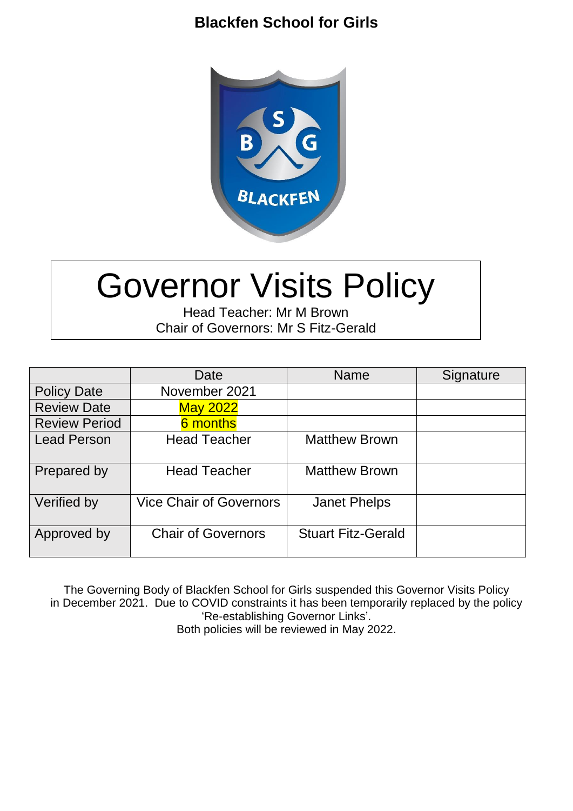

# Governor Visits Policy

Head Teacher: Mr M Brown Chair of Governors: Mr S Fitz-Gerald

|                      | Date                           | <b>Name</b>               | Signature |
|----------------------|--------------------------------|---------------------------|-----------|
| <b>Policy Date</b>   | November 2021                  |                           |           |
| <b>Review Date</b>   | <b>May 2022</b>                |                           |           |
| <b>Review Period</b> | 6 months                       |                           |           |
| <b>Lead Person</b>   | <b>Head Teacher</b>            | <b>Matthew Brown</b>      |           |
| Prepared by          | <b>Head Teacher</b>            | <b>Matthew Brown</b>      |           |
| Verified by          | <b>Vice Chair of Governors</b> | <b>Janet Phelps</b>       |           |
| Approved by          | <b>Chair of Governors</b>      | <b>Stuart Fitz-Gerald</b> |           |

The Governing Body of Blackfen School for Girls suspended this Governor Visits Policy in December 2021. Due to COVID constraints it has been temporarily replaced by the policy 'Re-establishing Governor Links'. Both policies will be reviewed in May 2022.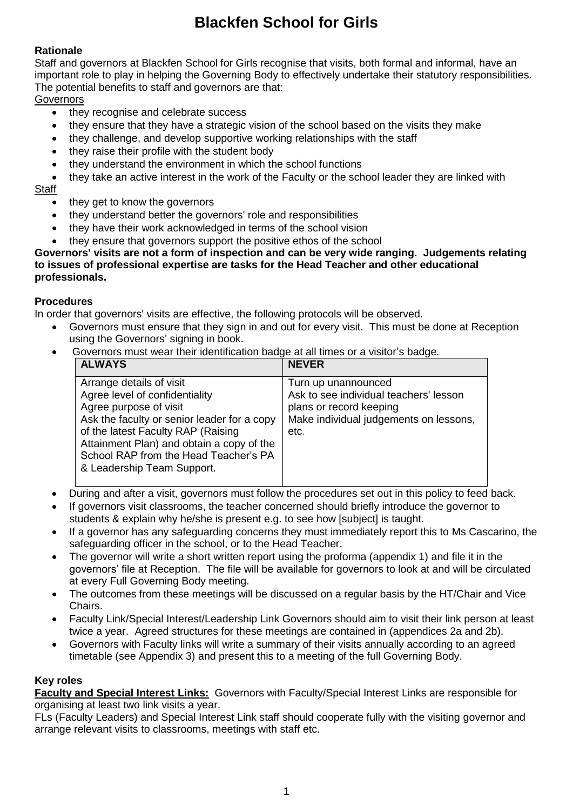#### **Rationale**

Staff and governors at Blackfen School for Girls recognise that visits, both formal and informal, have an important role to play in helping the Governing Body to effectively undertake their statutory responsibilities. The potential benefits to staff and governors are that:

**Governors** 

- they recognise and celebrate success
- they ensure that they have a strategic vision of the school based on the visits they make
- they challenge, and develop supportive working relationships with the staff
- they raise their profile with the student body
- they understand the environment in which the school functions

they take an active interest in the work of the Faculty or the school leader they are linked with

**Staff** 

- they get to know the governors
- they understand better the governors' role and responsibilities
- they have their work acknowledged in terms of the school vision
- they ensure that governors support the positive ethos of the school

#### **Governors' visits are not a form of inspection and can be very wide ranging. Judgements relating to issues of professional expertise are tasks for the Head Teacher and other educational professionals.**

#### **Procedures**

In order that governors' visits are effective, the following protocols will be observed.

- Governors must ensure that they sign in and out for every visit. This must be done at Reception using the Governors' signing in book.
- Governors must wear their identification badge at all times or a visitor's badge.

| <b>ALWAYS</b>                                                                                                                                                                                                                                                                                 | <b>NEVER</b>                                                                                                                               |
|-----------------------------------------------------------------------------------------------------------------------------------------------------------------------------------------------------------------------------------------------------------------------------------------------|--------------------------------------------------------------------------------------------------------------------------------------------|
| Arrange details of visit<br>Agree level of confidentiality<br>Agree purpose of visit<br>Ask the faculty or senior leader for a copy<br>of the latest Faculty RAP (Raising<br>Attainment Plan) and obtain a copy of the<br>School RAP from the Head Teacher's PA<br>& Leadership Team Support. | Turn up unannounced<br>Ask to see individual teachers' lesson<br>plans or record keeping<br>Make individual judgements on lessons,<br>etc. |
|                                                                                                                                                                                                                                                                                               |                                                                                                                                            |

- During and after a visit, governors must follow the procedures set out in this policy to feed back.
- If governors visit classrooms, the teacher concerned should briefly introduce the governor to students & explain why he/she is present e.g. to see how [subject] is taught.
- If a governor has any safeguarding concerns they must immediately report this to Ms Cascarino, the safeguarding officer in the school, or to the Head Teacher.
- The governor will write a short written report using the proforma (appendix 1) and file it in the governors' file at Reception. The file will be available for governors to look at and will be circulated at every Full Governing Body meeting.
- The outcomes from these meetings will be discussed on a regular basis by the HT/Chair and Vice Chairs.
- Faculty Link/Special Interest/Leadership Link Governors should aim to visit their link person at least twice a year. Agreed structures for these meetings are contained in (appendices 2a and 2b).
- Governors with Faculty links will write a summary of their visits annually according to an agreed timetable (see Appendix 3) and present this to a meeting of the full Governing Body.

#### **Key roles**

**Faculty and Special Interest Links:** Governors with Faculty/Special Interest Links are responsible for organising at least two link visits a year.

FLs (Faculty Leaders) and Special Interest Link staff should cooperate fully with the visiting governor and arrange relevant visits to classrooms, meetings with staff etc.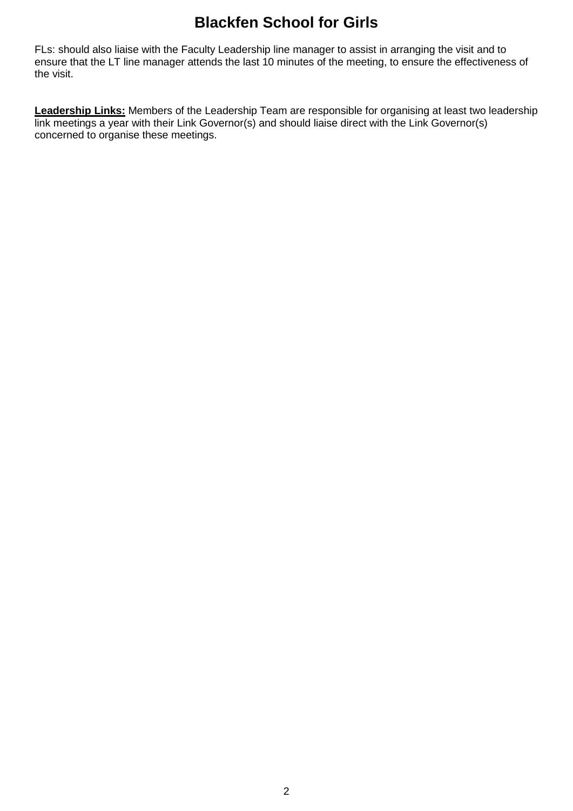FLs: should also liaise with the Faculty Leadership line manager to assist in arranging the visit and to ensure that the LT line manager attends the last 10 minutes of the meeting, to ensure the effectiveness of the visit.

**Leadership Links:** Members of the Leadership Team are responsible for organising at least two leadership link meetings a year with their Link Governor(s) and should liaise direct with the Link Governor(s) concerned to organise these meetings.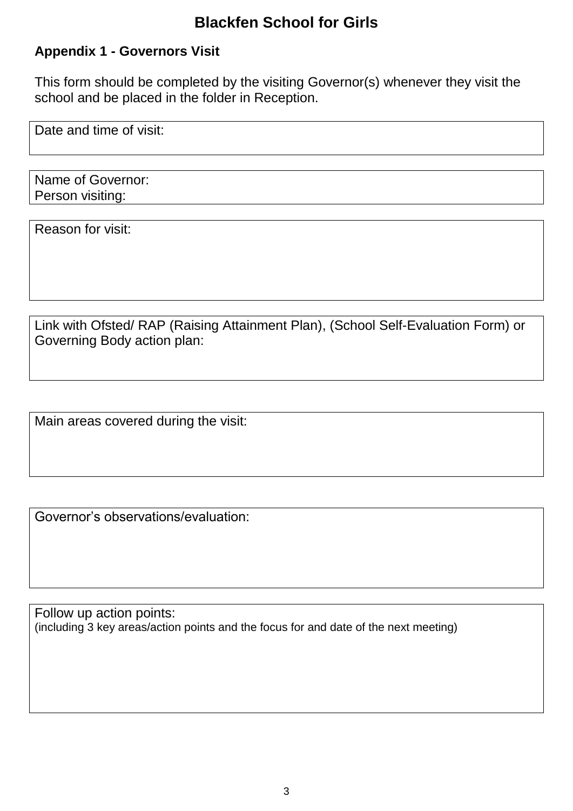# **Appendix 1 - Governors Visit**

This form should be completed by the visiting Governor(s) whenever they visit the school and be placed in the folder in Reception.

Date and time of visit:

Name of Governor: Person visiting:

Reason for visit:

Link with Ofsted/ RAP (Raising Attainment Plan), (School Self-Evaluation Form) or Governing Body action plan:

Main areas covered during the visit:

Governor's observations/evaluation:

Follow up action points: (including 3 key areas/action points and the focus for and date of the next meeting)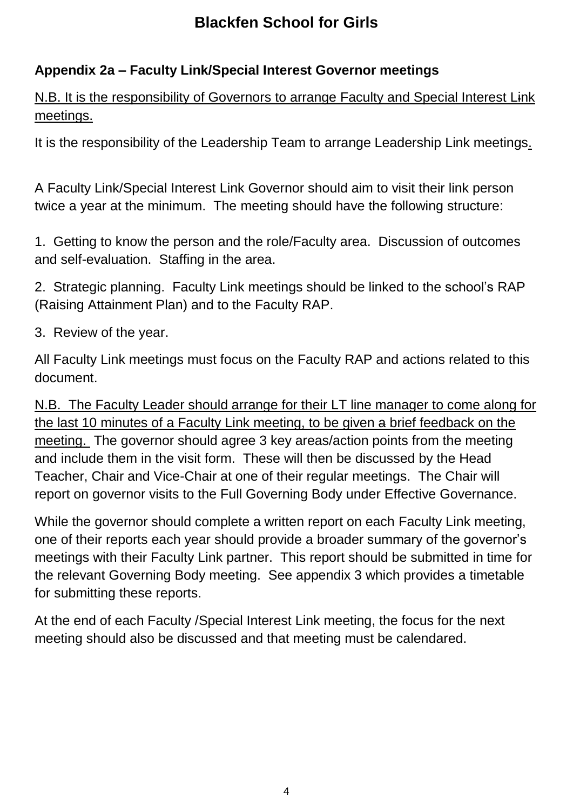# **Appendix 2a – Faculty Link/Special Interest Governor meetings**

N.B. It is the responsibility of Governors to arrange Faculty and Special Interest Link meetings.

It is the responsibility of the Leadership Team to arrange Leadership Link meetings.

A Faculty Link/Special Interest Link Governor should aim to visit their link person twice a year at the minimum. The meeting should have the following structure:

1. Getting to know the person and the role/Faculty area. Discussion of outcomes and self-evaluation. Staffing in the area.

2. Strategic planning. Faculty Link meetings should be linked to the school's RAP (Raising Attainment Plan) and to the Faculty RAP.

3. Review of the year.

All Faculty Link meetings must focus on the Faculty RAP and actions related to this document.

N.B. The Faculty Leader should arrange for their LT line manager to come along for the last 10 minutes of a Faculty Link meeting, to be given a brief feedback on the meeting. The governor should agree 3 key areas/action points from the meeting and include them in the visit form. These will then be discussed by the Head Teacher, Chair and Vice-Chair at one of their regular meetings. The Chair will report on governor visits to the Full Governing Body under Effective Governance.

While the governor should complete a written report on each Faculty Link meeting, one of their reports each year should provide a broader summary of the governor's meetings with their Faculty Link partner. This report should be submitted in time for the relevant Governing Body meeting. See appendix 3 which provides a timetable for submitting these reports.

At the end of each Faculty /Special Interest Link meeting, the focus for the next meeting should also be discussed and that meeting must be calendared.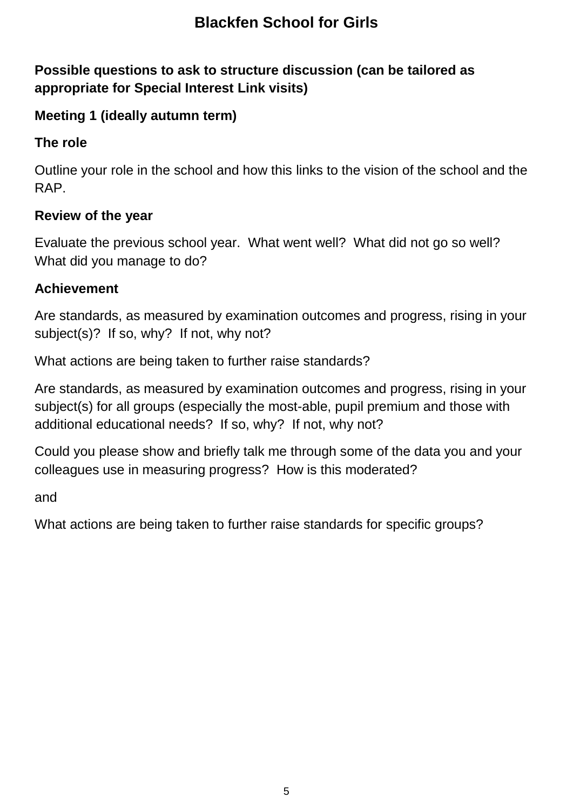# **Possible questions to ask to structure discussion (can be tailored as appropriate for Special Interest Link visits)**

# **Meeting 1 (ideally autumn term)**

#### **The role**

Outline your role in the school and how this links to the vision of the school and the RAP.

#### **Review of the year**

Evaluate the previous school year. What went well? What did not go so well? What did you manage to do?

#### **Achievement**

Are standards, as measured by examination outcomes and progress, rising in your subject(s)? If so, why? If not, why not?

What actions are being taken to further raise standards?

Are standards, as measured by examination outcomes and progress, rising in your subject(s) for all groups (especially the most-able, pupil premium and those with additional educational needs? If so, why? If not, why not?

Could you please show and briefly talk me through some of the data you and your colleagues use in measuring progress? How is this moderated?

and

What actions are being taken to further raise standards for specific groups?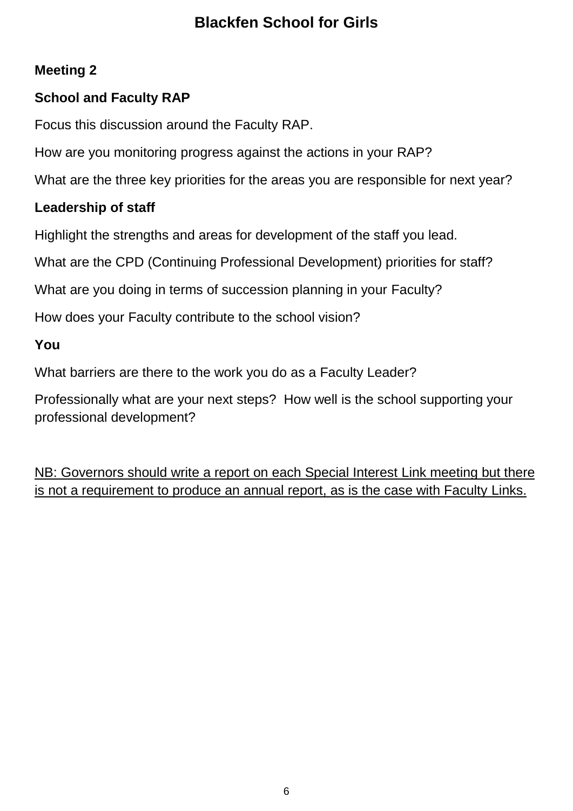# **Meeting 2**

# **School and Faculty RAP**

Focus this discussion around the Faculty RAP.

How are you monitoring progress against the actions in your RAP?

What are the three key priorities for the areas you are responsible for next year?

# **Leadership of staff**

Highlight the strengths and areas for development of the staff you lead.

What are the CPD (Continuing Professional Development) priorities for staff?

What are you doing in terms of succession planning in your Faculty?

How does your Faculty contribute to the school vision?

# **You**

What barriers are there to the work you do as a Faculty Leader?

Professionally what are your next steps? How well is the school supporting your professional development?

NB: Governors should write a report on each Special Interest Link meeting but there is not a requirement to produce an annual report, as is the case with Faculty Links.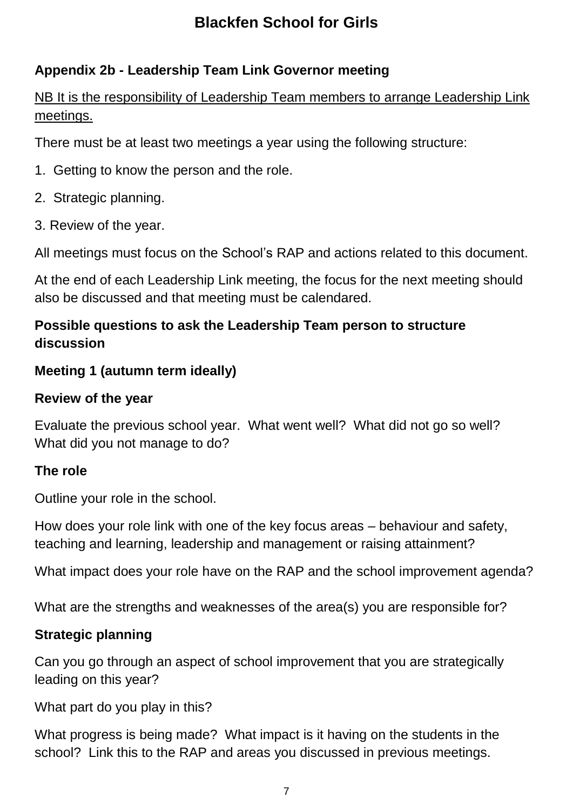# **Appendix 2b - Leadership Team Link Governor meeting**

NB It is the responsibility of Leadership Team members to arrange Leadership Link meetings.

There must be at least two meetings a year using the following structure:

- 1. Getting to know the person and the role.
- 2. Strategic planning.
- 3. Review of the year.

All meetings must focus on the School's RAP and actions related to this document.

At the end of each Leadership Link meeting, the focus for the next meeting should also be discussed and that meeting must be calendared.

# **Possible questions to ask the Leadership Team person to structure discussion**

# **Meeting 1 (autumn term ideally)**

#### **Review of the year**

Evaluate the previous school year. What went well? What did not go so well? What did you not manage to do?

#### **The role**

Outline your role in the school.

How does your role link with one of the key focus areas – behaviour and safety, teaching and learning, leadership and management or raising attainment?

What impact does your role have on the RAP and the school improvement agenda?

What are the strengths and weaknesses of the area(s) you are responsible for?

#### **Strategic planning**

Can you go through an aspect of school improvement that you are strategically leading on this year?

What part do you play in this?

What progress is being made? What impact is it having on the students in the school? Link this to the RAP and areas you discussed in previous meetings.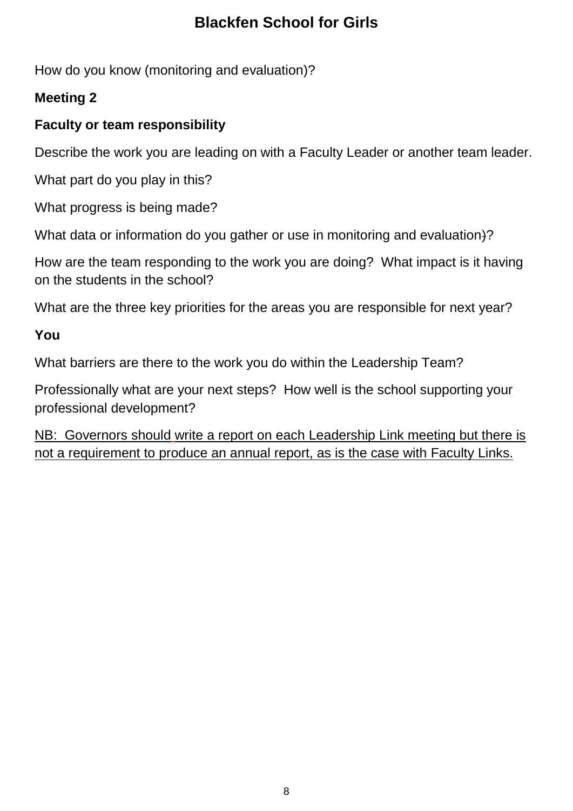How do you know (monitoring and evaluation)?

# **Meeting 2**

# **Faculty or team responsibility**

Describe the work you are leading on with a Faculty Leader or another team leader.

What part do you play in this?

What progress is being made?

What data or information do you gather or use in monitoring and evaluation.)?

How are the team responding to the work you are doing? What impact is it having on the students in the school?

What are the three key priorities for the areas you are responsible for next year?

# **You**

What barriers are there to the work you do within the Leadership Team?

Professionally what are your next steps? How well is the school supporting your professional development?

NB: Governors should write a report on each Leadership Link meeting but there is not a requirement to produce an annual report, as is the case with Faculty Links.